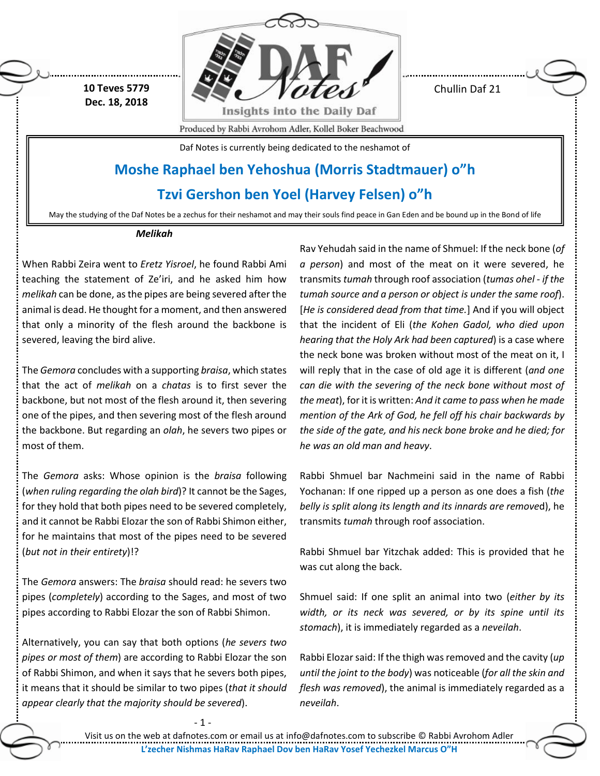**10 Teves 5779 Dec. 18, 2018**



Chullin Daf 21

Produced by Rabbi Avrohom Adler, Kollel Boker Beachwood

Daf Notes is currently being dedicated to the neshamot of

## **Moshe Raphael ben Yehoshua (Morris Stadtmauer) o"h**

## **Tzvi Gershon ben Yoel (Harvey Felsen) o"h**

May the studying of the Daf Notes be a zechus for their neshamot and may their souls find peace in Gan Eden and be bound up in the Bond of life

## *Melikah*

When Rabbi Zeira went to *Eretz Yisroel*, he found Rabbi Ami teaching the statement of Ze'iri, and he asked him how *melikah* can be done, as the pipes are being severed after the animal is dead. He thought for a moment, and then answered that only a minority of the flesh around the backbone is severed, leaving the bird alive.

The *Gemora* concludes with a supporting *braisa*, which states that the act of *melikah* on a *chatas* is to first sever the backbone, but not most of the flesh around it, then severing one of the pipes, and then severing most of the flesh around the backbone. But regarding an *olah*, he severs two pipes or most of them.

The *Gemora* asks: Whose opinion is the *braisa* following (*when ruling regarding the olah bird*)? It cannot be the Sages, for they hold that both pipes need to be severed completely, and it cannot be Rabbi Elozar the son of Rabbi Shimon either, for he maintains that most of the pipes need to be severed (*but not in their entirety*)!?

The *Gemora* answers: The *braisa* should read: he severs two pipes (*completely*) according to the Sages, and most of two pipes according to Rabbi Elozar the son of Rabbi Shimon.

Alternatively, you can say that both options (*he severs two pipes or most of them*) are according to Rabbi Elozar the son of Rabbi Shimon, and when it says that he severs both pipes, it means that it should be similar to two pipes (*that it should appear clearly that the majority should be severed*).

Rav Yehudah said in the name of Shmuel: If the neck bone (*of a person*) and most of the meat on it were severed, he transmits *tumah* through roof association (*tumas ohel - if the tumah source and a person or object is under the same roof*). [*He is considered dead from that time.*] And if you will object that the incident of Eli (*the Kohen Gadol, who died upon hearing that the Holy Ark had been captured*) is a case where the neck bone was broken without most of the meat on it, I will reply that in the case of old age it is different (*and one can die with the severing of the neck bone without most of the meat*), for it is written: *And it came to pass when he made mention of the Ark of God, he fell off his chair backwards by the side of the gate, and his neck bone broke and he died; for he was an old man and heavy*.

Rabbi Shmuel bar Nachmeini said in the name of Rabbi Yochanan: If one ripped up a person as one does a fish (*the belly is split along its length and its innards are remove*d), he transmits *tumah* through roof association.

Rabbi Shmuel bar Yitzchak added: This is provided that he was cut along the back.

Shmuel said: If one split an animal into two (*either by its width, or its neck was severed, or by its spine until its stomach*), it is immediately regarded as a *neveilah*.

Rabbi Elozar said: If the thigh was removed and the cavity (*up until the joint to the body*) was noticeable (*for all the skin and flesh was removed*), the animal is immediately regarded as a *neveilah*.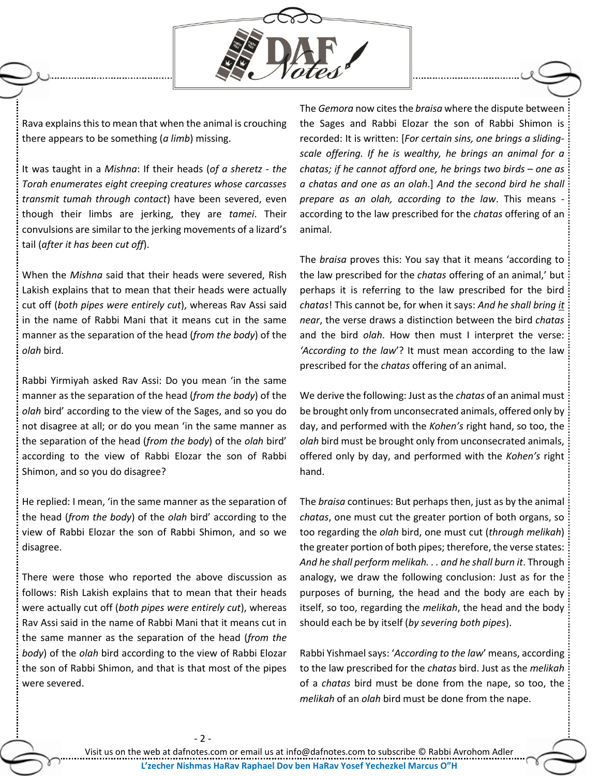

Rava explains this to mean that when the animal is crouching there appears to be something (*a limb*) missing.

It was taught in a *Mishna*: If their heads (*of a sheretz - the Torah enumerates eight creeping creatures whose carcasses transmit tumah through contact*) have been severed, even though their limbs are jerking, they are *tamei*. Their convulsions are similar to the jerking movements of a lizard's tail (*after it has been cut off*).

When the *Mishna* said that their heads were severed, Rish Lakish explains that to mean that their heads were actually cut off (*both pipes were entirely cut*), whereas Rav Assi said in the name of Rabbi Mani that it means cut in the same manner as the separation of the head (*from the body*) of the *olah* bird.

Rabbi Yirmiyah asked Rav Assi: Do you mean 'in the same manner as the separation of the head (*from the body*) of the *olah* bird' according to the view of the Sages, and so you do not disagree at all; or do you mean 'in the same manner as the separation of the head (*from the body*) of the *olah* bird' according to the view of Rabbi Elozar the son of Rabbi Shimon, and so you do disagree?

He replied: I mean, 'in the same manner as the separation of the head (*from the body*) of the *olah* bird' according to the view of Rabbi Elozar the son of Rabbi Shimon, and so we disagree.

There were those who reported the above discussion as follows: Rish Lakish explains that to mean that their heads were actually cut off (*both pipes were entirely cut*), whereas Rav Assi said in the name of Rabbi Mani that it means cut in the same manner as the separation of the head (*from the body*) of the *olah* bird according to the view of Rabbi Elozar the son of Rabbi Shimon, and that is that most of the pipes were severed.

The *Gemora* now cites the *braisa* where the dispute between the Sages and Rabbi Elozar the son of Rabbi Shimon is recorded: It is written: [*For certain sins, one brings a slidingscale offering. If he is wealthy, he brings an animal for a chatas; if he cannot afford one, he brings two birds – one as a chatas and one as an olah*.] *And the second bird he shall prepare as an olah, according to the law*. This means according to the law prescribed for the *chatas* offering of an animal.

The *braisa* proves this: You say that it means 'according to the law prescribed for the *chatas* offering of an animal,' but perhaps it is referring to the law prescribed for the bird *chatas*! This cannot be, for when it says: *And he shall bring it near*, the verse draws a distinction between the bird *chatas* and the bird *olah*. How then must I interpret the verse: *'According to the law*'? It must mean according to the law prescribed for the *chatas* offering of an animal.

We derive the following: Just as the *chatas* of an animal must be brought only from unconsecrated animals, offered only by day, and performed with the *Kohen's* right hand, so too, the *olah* bird must be brought only from unconsecrated animals, offered only by day, and performed with the *Kohen's* right hand.

The *braisa* continues: But perhaps then, just as by the animal *chatas*, one must cut the greater portion of both organs, so too regarding the *olah* bird, one must cut (*through melikah*) the greater portion of both pipes; therefore, the verse states: *And he shall perform melikah. . . and he shall burn it*. Through analogy, we draw the following conclusion: Just as for the purposes of burning, the head and the body are each by itself, so too, regarding the *melikah*, the head and the body should each be by itself (*by severing both pipes*).

Rabbi Yishmael says: '*According to the law*' means, according to the law prescribed for the *chatas* bird. Just as the *melikah* of a *chatas* bird must be done from the nape, so too, the *melikah* of an *olah* bird must be done from the nape.